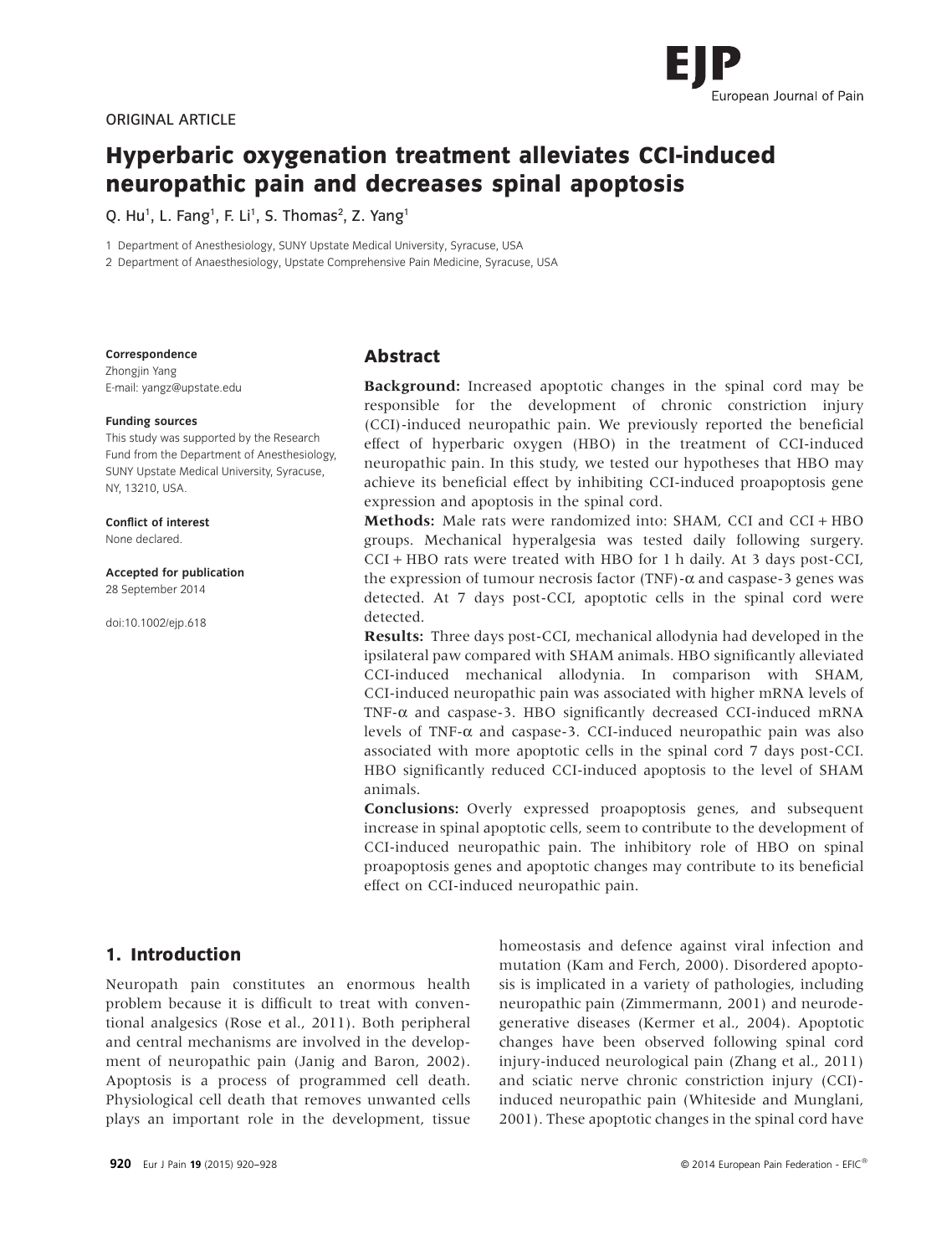

# **Hyperbaric oxygenation treatment alleviates CCI-induced neuropathic pain and decreases spinal apoptosis**

Q. Hu<sup>1</sup>, L. Fang<sup>1</sup>, F. Li<sup>1</sup>, S. Thomas<sup>2</sup>, Z. Yang<sup>1</sup>

1 Department of Anesthesiology, SUNY Upstate Medical University, Syracuse, USA

2 Department of Anaesthesiology, Upstate Comprehensive Pain Medicine, Syracuse, USA

#### **Correspondence**

Zhongjin Yang E-mail: yangz@upstate.edu

#### **Funding sources**

This study was supported by the Research Fund from the Department of Anesthesiology, SUNY Upstate Medical University, Syracuse, NY, 13210, USA.

#### **Conflict of interest** None declared.

**Accepted for publication**

28 September 2014

doi:10.1002/ejp.618

## **Abstract**

**Background:** Increased apoptotic changes in the spinal cord may be responsible for the development of chronic constriction injury (CCI)-induced neuropathic pain. We previously reported the beneficial effect of hyperbaric oxygen (HBO) in the treatment of CCI-induced neuropathic pain. In this study, we tested our hypotheses that HBO may achieve its beneficial effect by inhibiting CCI-induced proapoptosis gene expression and apoptosis in the spinal cord.

**Methods:** Male rats were randomized into: SHAM, CCI and CCI + HBO groups. Mechanical hyperalgesia was tested daily following surgery. CCI + HBO rats were treated with HBO for 1 h daily. At 3 days post-CCI, the expression of tumour necrosis factor (TNF)- $\alpha$  and caspase-3 genes was detected. At 7 days post-CCI, apoptotic cells in the spinal cord were detected.

**Results:** Three days post-CCI, mechanical allodynia had developed in the ipsilateral paw compared with SHAM animals. HBO significantly alleviated CCI-induced mechanical allodynia. In comparison with SHAM, CCI-induced neuropathic pain was associated with higher mRNA levels of TNF-α and caspase-3. HBO significantly decreased CCI-induced mRNA levels of TNF-α and caspase-3. CCI-induced neuropathic pain was also associated with more apoptotic cells in the spinal cord 7 days post-CCI. HBO significantly reduced CCI-induced apoptosis to the level of SHAM animals.

**Conclusions:** Overly expressed proapoptosis genes, and subsequent increase in spinal apoptotic cells, seem to contribute to the development of CCI-induced neuropathic pain. The inhibitory role of HBO on spinal proapoptosis genes and apoptotic changes may contribute to its beneficial effect on CCI-induced neuropathic pain.

# **1. Introduction**

Neuropath pain constitutes an enormous health problem because it is difficult to treat with conventional analgesics (Rose et al., 2011). Both peripheral and central mechanisms are involved in the development of neuropathic pain (Janig and Baron, 2002). Apoptosis is a process of programmed cell death. Physiological cell death that removes unwanted cells plays an important role in the development, tissue homeostasis and defence against viral infection and mutation (Kam and Ferch, 2000). Disordered apoptosis is implicated in a variety of pathologies, including neuropathic pain (Zimmermann, 2001) and neurodegenerative diseases (Kermer et al., 2004). Apoptotic changes have been observed following spinal cord injury-induced neurological pain (Zhang et al., 2011) and sciatic nerve chronic constriction injury (CCI) induced neuropathic pain (Whiteside and Munglani, 2001). These apoptotic changes in the spinal cord have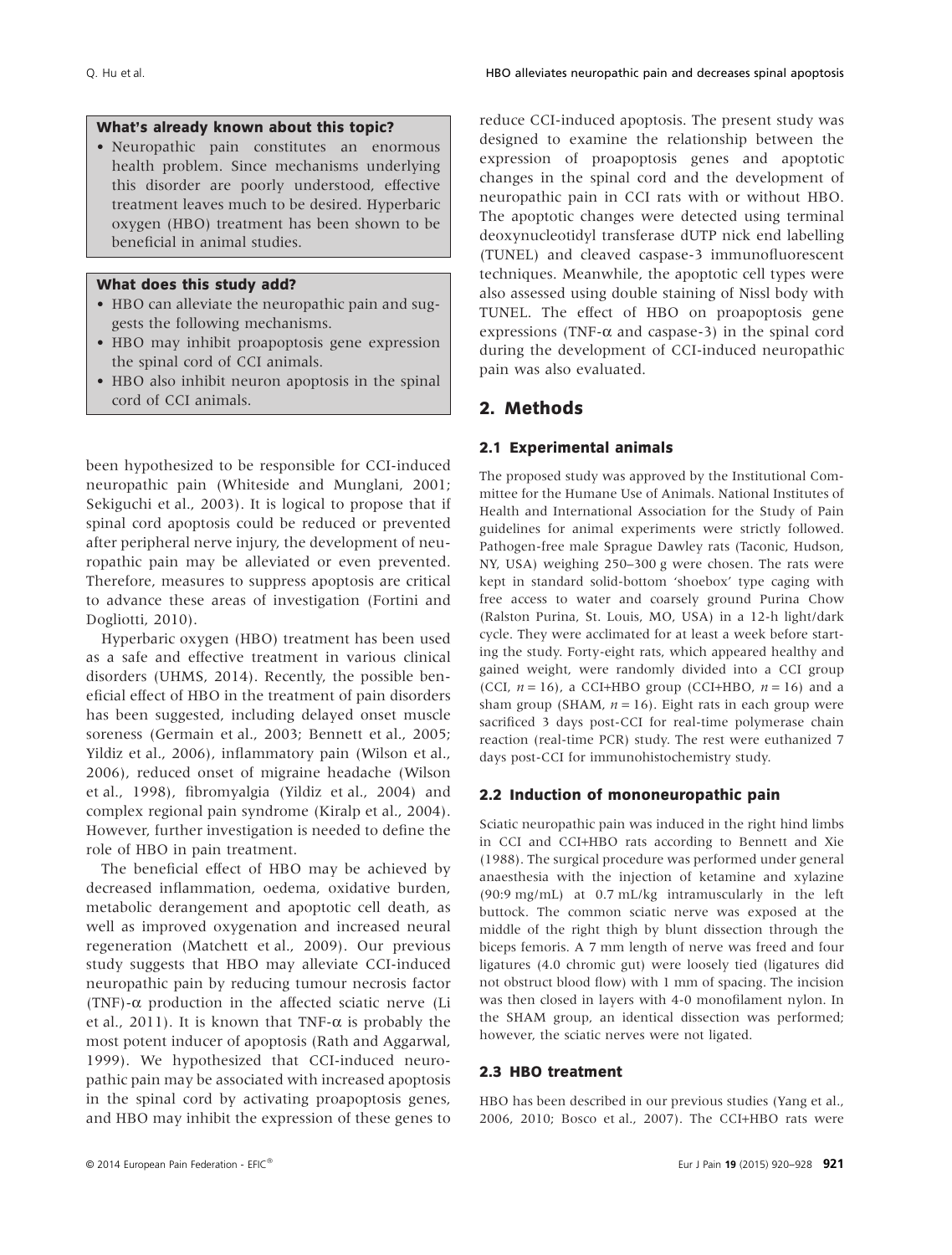## **What's already known about this topic?**

• Neuropathic pain constitutes an enormous health problem. Since mechanisms underlying this disorder are poorly understood, effective treatment leaves much to be desired. Hyperbaric oxygen (HBO) treatment has been shown to be beneficial in animal studies.

## **What does this study add?**

- HBO can alleviate the neuropathic pain and suggests the following mechanisms.
- HBO may inhibit proapoptosis gene expression the spinal cord of CCI animals.
- HBO also inhibit neuron apoptosis in the spinal cord of CCI animals.

been hypothesized to be responsible for CCI-induced neuropathic pain (Whiteside and Munglani, 2001; Sekiguchi et al., 2003). It is logical to propose that if spinal cord apoptosis could be reduced or prevented after peripheral nerve injury, the development of neuropathic pain may be alleviated or even prevented. Therefore, measures to suppress apoptosis are critical to advance these areas of investigation (Fortini and Dogliotti, 2010).

Hyperbaric oxygen (HBO) treatment has been used as a safe and effective treatment in various clinical disorders (UHMS, 2014). Recently, the possible beneficial effect of HBO in the treatment of pain disorders has been suggested, including delayed onset muscle soreness (Germain et al., 2003; Bennett et al., 2005; Yildiz et al., 2006), inflammatory pain (Wilson et al., 2006), reduced onset of migraine headache (Wilson et al., 1998), fibromyalgia (Yildiz et al., 2004) and complex regional pain syndrome (Kiralp et al., 2004). However, further investigation is needed to define the role of HBO in pain treatment.

The beneficial effect of HBO may be achieved by decreased inflammation, oedema, oxidative burden, metabolic derangement and apoptotic cell death, as well as improved oxygenation and increased neural regeneration (Matchett et al., 2009). Our previous study suggests that HBO may alleviate CCI-induced neuropathic pain by reducing tumour necrosis factor (TNF)-α production in the affected sciatic nerve (Li et al., 2011). It is known that TNF- $\alpha$  is probably the most potent inducer of apoptosis (Rath and Aggarwal, 1999). We hypothesized that CCI-induced neuropathic pain may be associated with increased apoptosis in the spinal cord by activating proapoptosis genes, and HBO may inhibit the expression of these genes to

reduce CCI-induced apoptosis. The present study was designed to examine the relationship between the expression of proapoptosis genes and apoptotic changes in the spinal cord and the development of neuropathic pain in CCI rats with or without HBO. The apoptotic changes were detected using terminal deoxynucleotidyl transferase dUTP nick end labelling (TUNEL) and cleaved caspase-3 immunofluorescent techniques. Meanwhile, the apoptotic cell types were also assessed using double staining of Nissl body with TUNEL. The effect of HBO on proapoptosis gene expressions (TNF- $\alpha$  and caspase-3) in the spinal cord during the development of CCI-induced neuropathic pain was also evaluated.

## **2. Methods**

## **2.1 Experimental animals**

The proposed study was approved by the Institutional Committee for the Humane Use of Animals. National Institutes of Health and International Association for the Study of Pain guidelines for animal experiments were strictly followed. Pathogen-free male Sprague Dawley rats (Taconic, Hudson, NY, USA) weighing 250–300 g were chosen. The rats were kept in standard solid-bottom 'shoebox' type caging with free access to water and coarsely ground Purina Chow (Ralston Purina, St. Louis, MO, USA) in a 12-h light/dark cycle. They were acclimated for at least a week before starting the study. Forty-eight rats, which appeared healthy and gained weight, were randomly divided into a CCI group (CCI,  $n = 16$ ), a CCI+HBO group (CCI+HBO,  $n = 16$ ) and a sham group (SHAM,  $n = 16$ ). Eight rats in each group were sacrificed 3 days post-CCI for real-time polymerase chain reaction (real-time PCR) study. The rest were euthanized 7 days post-CCI for immunohistochemistry study.

## **2.2 Induction of mononeuropathic pain**

Sciatic neuropathic pain was induced in the right hind limbs in CCI and CCI+HBO rats according to Bennett and Xie (1988). The surgical procedure was performed under general anaesthesia with the injection of ketamine and xylazine (90:9 mg/mL) at 0.7 mL/kg intramuscularly in the left buttock. The common sciatic nerve was exposed at the middle of the right thigh by blunt dissection through the biceps femoris. A 7 mm length of nerve was freed and four ligatures (4.0 chromic gut) were loosely tied (ligatures did not obstruct blood flow) with 1 mm of spacing. The incision was then closed in layers with 4-0 monofilament nylon. In the SHAM group, an identical dissection was performed; however, the sciatic nerves were not ligated.

#### **2.3 HBO treatment**

HBO has been described in our previous studies (Yang et al., 2006, 2010; Bosco et al., 2007). The CCI+HBO rats were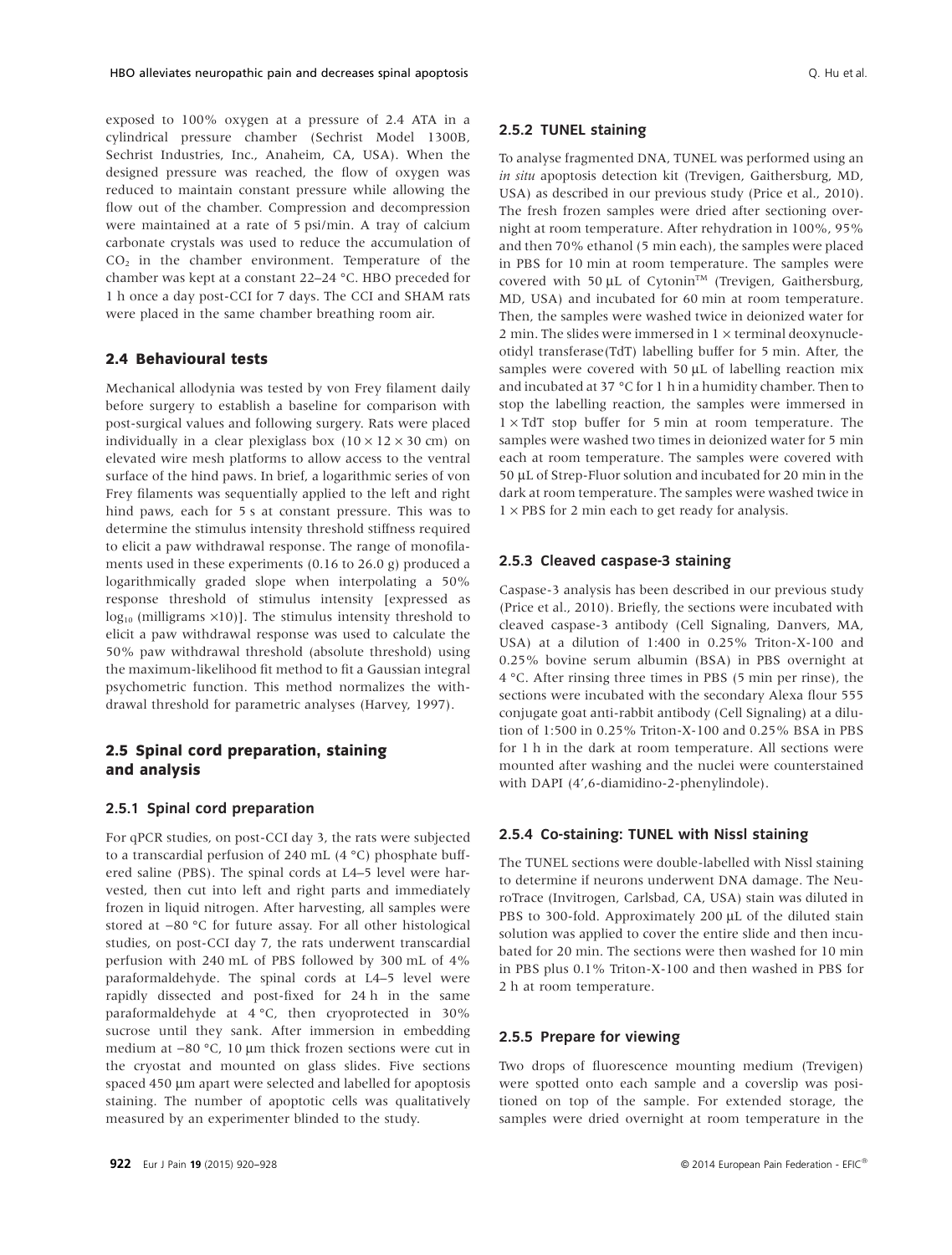exposed to 100% oxygen at a pressure of 2.4 ATA in a cylindrical pressure chamber (Sechrist Model 1300B, Sechrist Industries, Inc., Anaheim, CA, USA). When the designed pressure was reached, the flow of oxygen was reduced to maintain constant pressure while allowing the flow out of the chamber. Compression and decompression were maintained at a rate of 5 psi/min. A tray of calcium carbonate crystals was used to reduce the accumulation of  $CO<sub>2</sub>$  in the chamber environment. Temperature of the chamber was kept at a constant 22–24 °C. HBO preceded for 1 h once a day post-CCI for 7 days. The CCI and SHAM rats were placed in the same chamber breathing room air.

## **2.4 Behavioural tests**

Mechanical allodynia was tested by von Frey filament daily before surgery to establish a baseline for comparison with post-surgical values and following surgery. Rats were placed individually in a clear plexiglass box  $(10 \times 12 \times 30$  cm) on elevated wire mesh platforms to allow access to the ventral surface of the hind paws. In brief, a logarithmic series of von Frey filaments was sequentially applied to the left and right hind paws, each for 5 s at constant pressure. This was to determine the stimulus intensity threshold stiffness required to elicit a paw withdrawal response. The range of monofilaments used in these experiments (0.16 to 26.0 g) produced a logarithmically graded slope when interpolating a 50% response threshold of stimulus intensity [expressed as  $log_{10}$  (milligrams  $\times$ 10)]. The stimulus intensity threshold to elicit a paw withdrawal response was used to calculate the 50% paw withdrawal threshold (absolute threshold) using the maximum-likelihood fit method to fit a Gaussian integral psychometric function. This method normalizes the withdrawal threshold for parametric analyses (Harvey, 1997).

## **2.5 Spinal cord preparation, staining and analysis**

### **2.5.1 Spinal cord preparation**

For qPCR studies, on post-CCI day 3, the rats were subjected to a transcardial perfusion of 240 mL (4 °C) phosphate buffered saline (PBS). The spinal cords at L4–5 level were harvested, then cut into left and right parts and immediately frozen in liquid nitrogen. After harvesting, all samples were stored at −80 °C for future assay. For all other histological studies, on post-CCI day 7, the rats underwent transcardial perfusion with 240 mL of PBS followed by 300 mL of 4% paraformaldehyde. The spinal cords at L4–5 level were rapidly dissected and post-fixed for 24 h in the same paraformaldehyde at 4 °C, then cryoprotected in 30% sucrose until they sank. After immersion in embedding medium at −80 °C, 10 μm thick frozen sections were cut in the cryostat and mounted on glass slides. Five sections spaced 450 μm apart were selected and labelled for apoptosis staining. The number of apoptotic cells was qualitatively measured by an experimenter blinded to the study.

**2.5.2 TUNEL staining**

To analyse fragmented DNA, TUNEL was performed using an *in situ* apoptosis detection kit (Trevigen, Gaithersburg, MD, USA) as described in our previous study (Price et al., 2010). The fresh frozen samples were dried after sectioning overnight at room temperature. After rehydration in 100%, 95% and then 70% ethanol (5 min each), the samples were placed in PBS for 10 min at room temperature. The samples were covered with 50 μL of Cytonin<sup>™</sup> (Trevigen, Gaithersburg, MD, USA) and incubated for 60 min at room temperature. Then, the samples were washed twice in deionized water for 2 min. The slides were immersed in  $1 \times$  terminal deoxynucleotidyl transferase(TdT) labelling buffer for 5 min. After, the samples were covered with 50 μL of labelling reaction mix and incubated at 37 °C for 1 h in a humidity chamber. Then to stop the labelling reaction, the samples were immersed in  $1 \times TdT$  stop buffer for 5 min at room temperature. The samples were washed two times in deionized water for 5 min each at room temperature. The samples were covered with 50 μL of Strep-Fluor solution and incubated for 20 min in the dark at room temperature. The samples were washed twice in  $1 \times PBS$  for 2 min each to get ready for analysis.

## **2.5.3 Cleaved caspase-3 staining**

Caspase-3 analysis has been described in our previous study (Price et al., 2010). Briefly, the sections were incubated with cleaved caspase-3 antibody (Cell Signaling, Danvers, MA, USA) at a dilution of 1:400 in 0.25% Triton-X-100 and 0.25% bovine serum albumin (BSA) in PBS overnight at 4 °C. After rinsing three times in PBS (5 min per rinse), the sections were incubated with the secondary Alexa flour 555 conjugate goat anti-rabbit antibody (Cell Signaling) at a dilution of 1:500 in 0.25% Triton-X-100 and 0.25% BSA in PBS for 1 h in the dark at room temperature. All sections were mounted after washing and the nuclei were counterstained with DAPI (4',6-diamidino-2-phenylindole).

#### **2.5.4 Co-staining: TUNEL with Nissl staining**

The TUNEL sections were double-labelled with Nissl staining to determine if neurons underwent DNA damage. The NeuroTrace (Invitrogen, Carlsbad, CA, USA) stain was diluted in PBS to 300-fold. Approximately 200 μL of the diluted stain solution was applied to cover the entire slide and then incubated for 20 min. The sections were then washed for 10 min in PBS plus 0.1% Triton-X-100 and then washed in PBS for 2 h at room temperature.

#### **2.5.5 Prepare for viewing**

Two drops of fluorescence mounting medium (Trevigen) were spotted onto each sample and a coverslip was positioned on top of the sample. For extended storage, the samples were dried overnight at room temperature in the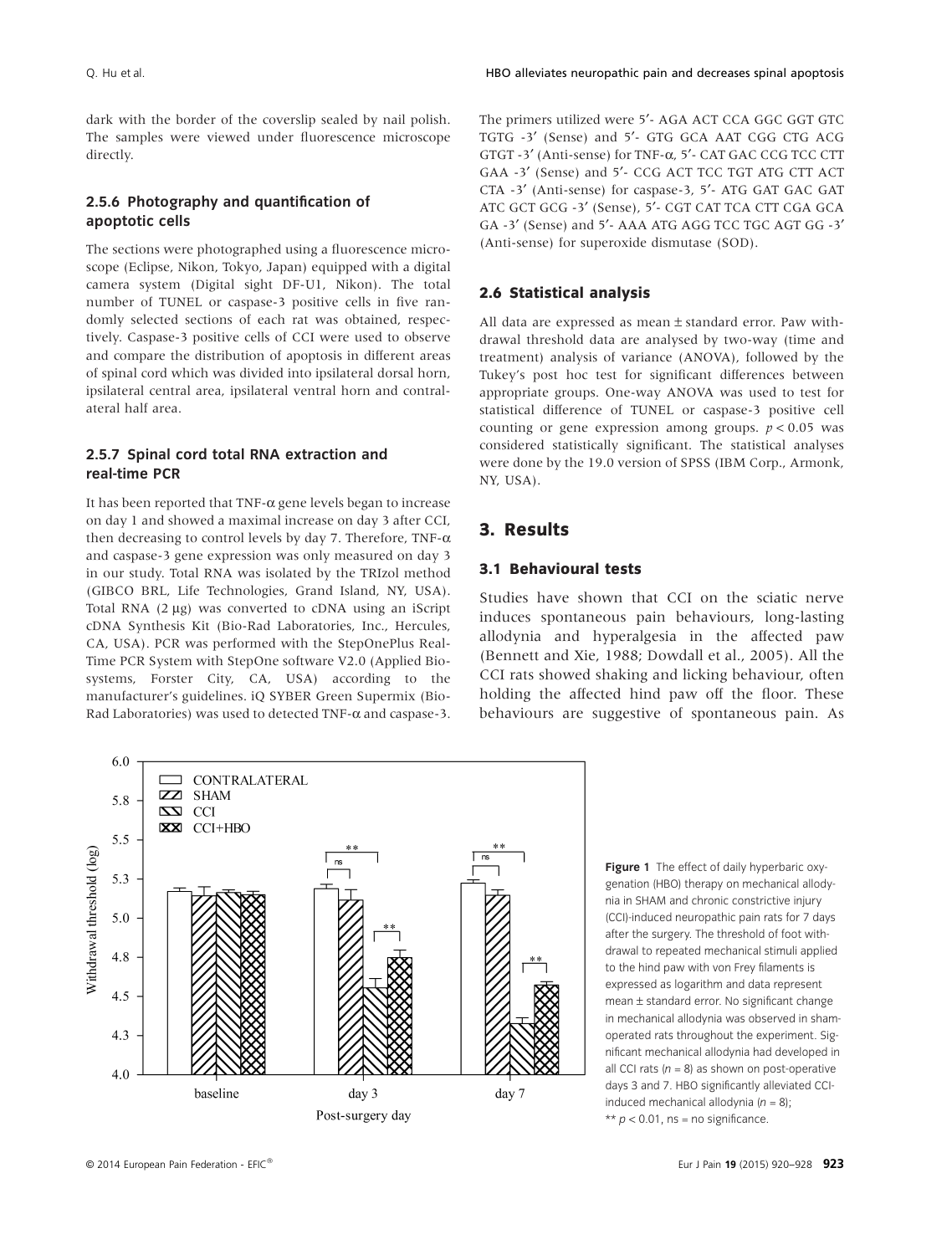dark with the border of the coverslip sealed by nail polish. The samples were viewed under fluorescence microscope directly.

# **2.5.6 Photography and quantification of apoptotic cells**

The sections were photographed using a fluorescence microscope (Eclipse, Nikon, Tokyo, Japan) equipped with a digital camera system (Digital sight DF-U1, Nikon). The total number of TUNEL or caspase-3 positive cells in five randomly selected sections of each rat was obtained, respectively. Caspase-3 positive cells of CCI were used to observe and compare the distribution of apoptosis in different areas of spinal cord which was divided into ipsilateral dorsal horn, ipsilateral central area, ipsilateral ventral horn and contralateral half area.

## **2.5.7 Spinal cord total RNA extraction and real-time PCR**

It has been reported that TNF- $\alpha$  gene levels began to increase on day 1 and showed a maximal increase on day 3 after CCI, then decreasing to control levels by day 7. Therefore, TNF- $\alpha$ and caspase-3 gene expression was only measured on day 3 in our study. Total RNA was isolated by the TRIzol method (GIBCO BRL, Life Technologies, Grand Island, NY, USA). Total RNA (2 μg) was converted to cDNA using an iScript cDNA Synthesis Kit (Bio-Rad Laboratories, Inc., Hercules, CA, USA). PCR was performed with the StepOnePlus Real-Time PCR System with StepOne software V2.0 (Applied Biosystems, Forster City, CA, USA) according to the manufacturer's guidelines. iQ SYBER Green Supermix (Bio-Rad Laboratories) was used to detected TNF-α and caspase-3. The primers utilized were 5′- AGA ACT CCA GGC GGT GTC TGTG -3′ (Sense) and 5′- GTG GCA AAT CGG CTG ACG GTGT -3′ (Anti-sense) for TNF-α, 5′- CAT GAC CCG TCC CTT GAA -3′ (Sense) and 5′- CCG ACT TCC TGT ATG CTT ACT CTA -3′ (Anti-sense) for caspase-3, 5′- ATG GAT GAC GAT ATC GCT GCG -3′ (Sense), 5′- CGT CAT TCA CTT CGA GCA GA -3′ (Sense) and 5′- AAA ATG AGG TCC TGC AGT GG -3′ (Anti-sense) for superoxide dismutase (SOD).

## **2.6 Statistical analysis**

All data are expressed as mean ± standard error. Paw withdrawal threshold data are analysed by two-way (time and treatment) analysis of variance (ANOVA), followed by the Tukey's post hoc test for significant differences between appropriate groups. One-way ANOVA was used to test for statistical difference of TUNEL or caspase-3 positive cell counting or gene expression among groups.  $p < 0.05$  was considered statistically significant. The statistical analyses were done by the 19.0 version of SPSS (IBM Corp., Armonk, NY, USA).

# **3. Results**

#### **3.1 Behavioural tests**

Studies have shown that CCI on the sciatic nerve induces spontaneous pain behaviours, long-lasting allodynia and hyperalgesia in the affected paw (Bennett and Xie, 1988; Dowdall et al., 2005). All the CCI rats showed shaking and licking behaviour, often holding the affected hind paw off the floor. These behaviours are suggestive of spontaneous pain. As



**Figure 1** The effect of daily hyperbaric oxygenation (HBO) therapy on mechanical allodynia in SHAM and chronic constrictive injury (CCI)-induced neuropathic pain rats for 7 days after the surgery. The threshold of foot withdrawal to repeated mechanical stimuli applied to the hind paw with von Frey filaments is expressed as logarithm and data represent mean ± standard error. No significant change in mechanical allodynia was observed in shamoperated rats throughout the experiment. Significant mechanical allodynia had developed in all CCI rats  $(n = 8)$  as shown on post-operative days 3 and 7. HBO significantly alleviated CCIinduced mechanical allodynia (*n* = 8);  $** p < 0.01$ , ns = no significance.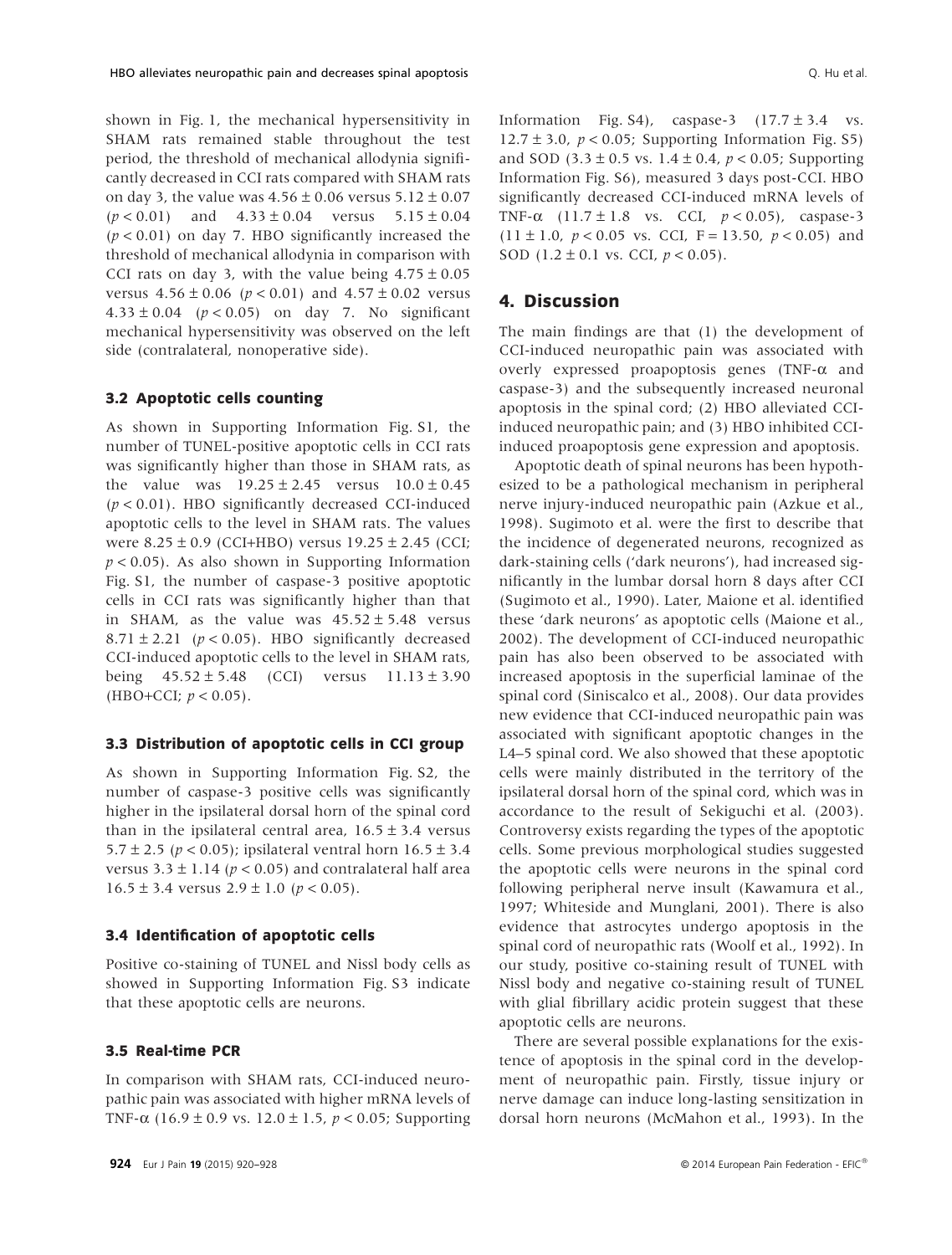shown in Fig. 1, the mechanical hypersensitivity in SHAM rats remained stable throughout the test period, the threshold of mechanical allodynia significantly decreased in CCI rats compared with SHAM rats on day 3, the value was  $4.56 \pm 0.06$  versus  $5.12 \pm 0.07$  $(p < 0.01)$  and  $4.33 \pm 0.04$  versus  $5.15 \pm 0.04$ (*p* < 0.01) on day 7. HBO significantly increased the threshold of mechanical allodynia in comparison with CCI rats on day 3, with the value being  $4.75 \pm 0.05$ versus  $4.56 \pm 0.06$  ( $p < 0.01$ ) and  $4.57 \pm 0.02$  versus 4.33  $\pm$  0.04 ( $p$  < 0.05) on day 7. No significant mechanical hypersensitivity was observed on the left side (contralateral, nonoperative side).

### **3.2 Apoptotic cells counting**

As shown in Supporting Information Fig. S1, the number of TUNEL-positive apoptotic cells in CCI rats was significantly higher than those in SHAM rats, as the value was  $19.25 \pm 2.45$  versus  $10.0 \pm 0.45$ (*p* < 0.01). HBO significantly decreased CCI-induced apoptotic cells to the level in SHAM rats. The values were  $8.25 \pm 0.9$  (CCI+HBO) versus  $19.25 \pm 2.45$  (CCI;  $p < 0.05$ ). As also shown in Supporting Information Fig. S1, the number of caspase-3 positive apoptotic cells in CCI rats was significantly higher than that in SHAM, as the value was  $45.52 \pm 5.48$  versus  $8.71 \pm 2.21$  ( $p < 0.05$ ). HBO significantly decreased CCI-induced apoptotic cells to the level in SHAM rats, being  $45.52 \pm 5.48$  (CCI) versus  $11.13 \pm 3.90$ (HBO+CCI;  $p < 0.05$ ).

### **3.3 Distribution of apoptotic cells in CCI group**

As shown in Supporting Information Fig. S2, the number of caspase-3 positive cells was significantly higher in the ipsilateral dorsal horn of the spinal cord than in the ipsilateral central area,  $16.5 \pm 3.4$  versus 5.7  $\pm$  2.5 ( $p$  < 0.05); ipsilateral ventral horn 16.5  $\pm$  3.4 versus  $3.3 \pm 1.14$  ( $p < 0.05$ ) and contralateral half area  $16.5 \pm 3.4$  versus  $2.9 \pm 1.0$  ( $p < 0.05$ ).

#### **3.4 Identification of apoptotic cells**

Positive co-staining of TUNEL and Nissl body cells as showed in Supporting Information Fig. S3 indicate that these apoptotic cells are neurons.

## **3.5 Real-time PCR**

In comparison with SHAM rats, CCI-induced neuropathic pain was associated with higher mRNA levels of TNF-α (16.9 ± 0.9 vs. 12.0 ± 1.5, *p* < 0.05; Supporting Information Fig. S4), caspase-3  $(17.7 \pm 3.4 \text{ vs.})$ 12.7  $\pm$  3.0,  $p < 0.05$ ; Supporting Information Fig. S5) and SOD (3.3 ± 0.5 vs. 1.4 ± 0.4, *p* < 0.05; Supporting Information Fig. S6), measured 3 days post-CCI. HBO significantly decreased CCI-induced mRNA levels of TNF-α (11.7 ± 1.8 vs. CCI, *p* < 0.05), caspase-3 (11  $\pm$  1.0,  $p < 0.05$  vs. CCI, F = 13.50,  $p < 0.05$ ) and SOD  $(1.2 \pm 0.1 \text{ vs. } CCI, p < 0.05)$ .

## **4. Discussion**

The main findings are that (1) the development of CCI-induced neuropathic pain was associated with overly expressed proapoptosis genes (TNF-α and caspase-3) and the subsequently increased neuronal apoptosis in the spinal cord; (2) HBO alleviated CCIinduced neuropathic pain; and (3) HBO inhibited CCIinduced proapoptosis gene expression and apoptosis.

Apoptotic death of spinal neurons has been hypothesized to be a pathological mechanism in peripheral nerve injury-induced neuropathic pain (Azkue et al., 1998). Sugimoto et al. were the first to describe that the incidence of degenerated neurons, recognized as dark-staining cells ('dark neurons'), had increased significantly in the lumbar dorsal horn 8 days after CCI (Sugimoto et al., 1990). Later, Maione et al. identified these 'dark neurons' as apoptotic cells (Maione et al., 2002). The development of CCI-induced neuropathic pain has also been observed to be associated with increased apoptosis in the superficial laminae of the spinal cord (Siniscalco et al., 2008). Our data provides new evidence that CCI-induced neuropathic pain was associated with significant apoptotic changes in the L4–5 spinal cord. We also showed that these apoptotic cells were mainly distributed in the territory of the ipsilateral dorsal horn of the spinal cord, which was in accordance to the result of Sekiguchi et al. (2003). Controversy exists regarding the types of the apoptotic cells. Some previous morphological studies suggested the apoptotic cells were neurons in the spinal cord following peripheral nerve insult (Kawamura et al., 1997; Whiteside and Munglani, 2001). There is also evidence that astrocytes undergo apoptosis in the spinal cord of neuropathic rats (Woolf et al., 1992). In our study, positive co-staining result of TUNEL with Nissl body and negative co-staining result of TUNEL with glial fibrillary acidic protein suggest that these apoptotic cells are neurons.

There are several possible explanations for the existence of apoptosis in the spinal cord in the development of neuropathic pain. Firstly, tissue injury or nerve damage can induce long-lasting sensitization in dorsal horn neurons (McMahon et al., 1993). In the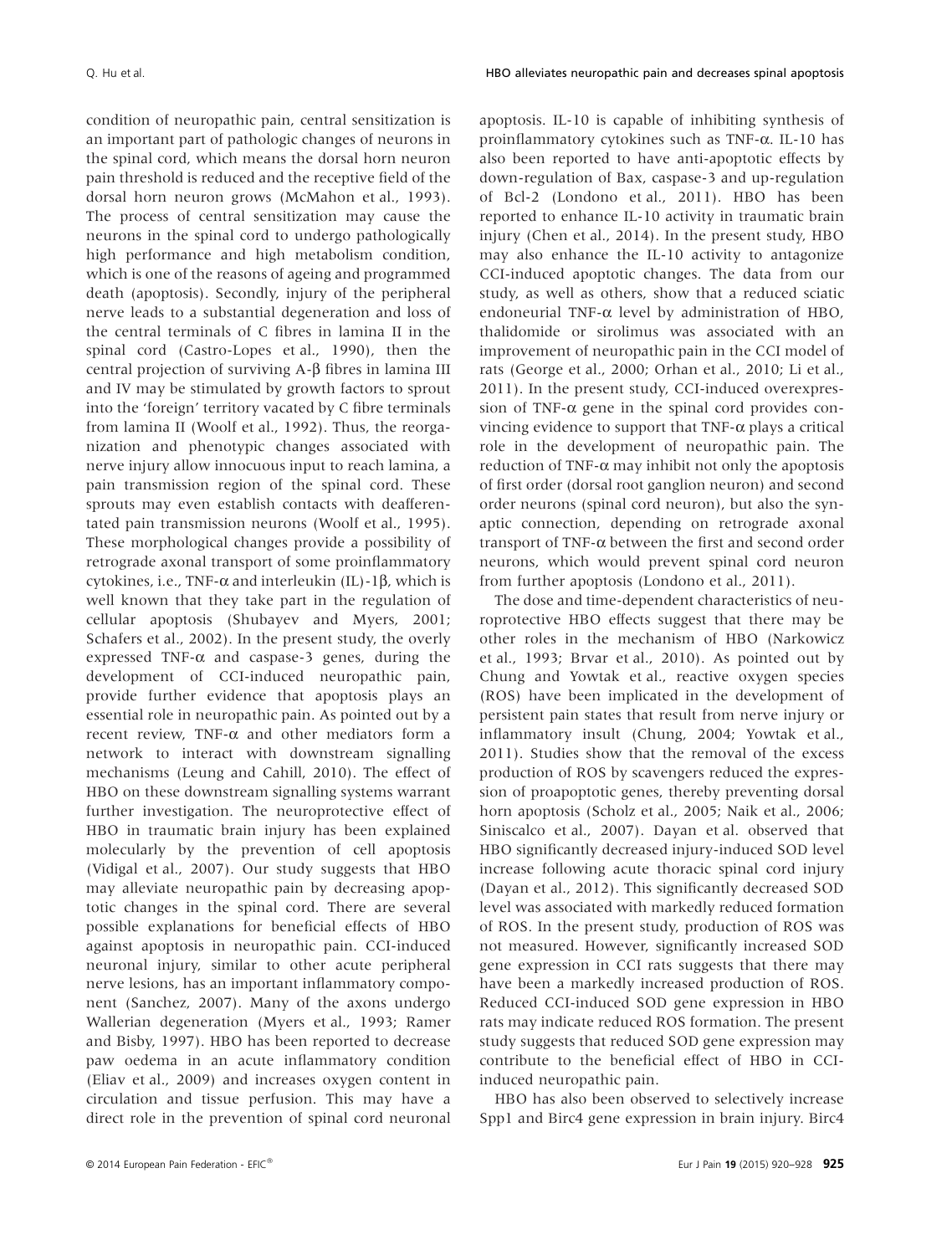condition of neuropathic pain, central sensitization is an important part of pathologic changes of neurons in the spinal cord, which means the dorsal horn neuron pain threshold is reduced and the receptive field of the dorsal horn neuron grows (McMahon et al., 1993). The process of central sensitization may cause the neurons in the spinal cord to undergo pathologically high performance and high metabolism condition, which is one of the reasons of ageing and programmed death (apoptosis). Secondly, injury of the peripheral nerve leads to a substantial degeneration and loss of the central terminals of C fibres in lamina II in the spinal cord (Castro-Lopes et al., 1990), then the central projection of surviving A-β fibres in lamina III and IV may be stimulated by growth factors to sprout into the 'foreign' territory vacated by C fibre terminals from lamina II (Woolf et al., 1992). Thus, the reorganization and phenotypic changes associated with nerve injury allow innocuous input to reach lamina, a pain transmission region of the spinal cord. These sprouts may even establish contacts with deafferentated pain transmission neurons (Woolf et al., 1995). These morphological changes provide a possibility of retrograde axonal transport of some proinflammatory cytokines, i.e., TNF-α and interleukin (IL)-1β, which is well known that they take part in the regulation of cellular apoptosis (Shubayev and Myers, 2001; Schafers et al., 2002). In the present study, the overly expressed TNF- $\alpha$  and caspase-3 genes, during the development of CCI-induced neuropathic pain, provide further evidence that apoptosis plays an essential role in neuropathic pain. As pointed out by a recent review, TNF-α and other mediators form a network to interact with downstream signalling mechanisms (Leung and Cahill, 2010). The effect of HBO on these downstream signalling systems warrant further investigation. The neuroprotective effect of HBO in traumatic brain injury has been explained molecularly by the prevention of cell apoptosis (Vidigal et al., 2007). Our study suggests that HBO may alleviate neuropathic pain by decreasing apoptotic changes in the spinal cord. There are several possible explanations for beneficial effects of HBO against apoptosis in neuropathic pain. CCI-induced neuronal injury, similar to other acute peripheral nerve lesions, has an important inflammatory component (Sanchez, 2007). Many of the axons undergo Wallerian degeneration (Myers et al., 1993; Ramer and Bisby, 1997). HBO has been reported to decrease paw oedema in an acute inflammatory condition (Eliav et al., 2009) and increases oxygen content in circulation and tissue perfusion. This may have a direct role in the prevention of spinal cord neuronal apoptosis. IL-10 is capable of inhibiting synthesis of proinflammatory cytokines such as TNF-α. IL-10 has also been reported to have anti-apoptotic effects by down-regulation of Bax, caspase-3 and up-regulation of Bcl-2 (Londono et al., 2011). HBO has been reported to enhance IL-10 activity in traumatic brain injury (Chen et al., 2014). In the present study, HBO may also enhance the IL-10 activity to antagonize CCI-induced apoptotic changes. The data from our study, as well as others, show that a reduced sciatic endoneurial TNF-α level by administration of HBO, thalidomide or sirolimus was associated with an improvement of neuropathic pain in the CCI model of rats (George et al., 2000; Orhan et al., 2010; Li et al., 2011). In the present study, CCI-induced overexpression of TNF- $\alpha$  gene in the spinal cord provides convincing evidence to support that TNF- $α$  plays a critical role in the development of neuropathic pain. The reduction of TNF- $\alpha$  may inhibit not only the apoptosis of first order (dorsal root ganglion neuron) and second order neurons (spinal cord neuron), but also the synaptic connection, depending on retrograde axonal transport of TNF-α between the first and second order neurons, which would prevent spinal cord neuron from further apoptosis (Londono et al., 2011).

The dose and time-dependent characteristics of neuroprotective HBO effects suggest that there may be other roles in the mechanism of HBO (Narkowicz et al., 1993; Brvar et al., 2010). As pointed out by Chung and Yowtak et al., reactive oxygen species (ROS) have been implicated in the development of persistent pain states that result from nerve injury or inflammatory insult (Chung, 2004; Yowtak et al., 2011). Studies show that the removal of the excess production of ROS by scavengers reduced the expression of proapoptotic genes, thereby preventing dorsal horn apoptosis (Scholz et al., 2005; Naik et al., 2006; Siniscalco et al., 2007). Dayan et al. observed that HBO significantly decreased injury-induced SOD level increase following acute thoracic spinal cord injury (Dayan et al., 2012). This significantly decreased SOD level was associated with markedly reduced formation of ROS. In the present study, production of ROS was not measured. However, significantly increased SOD gene expression in CCI rats suggests that there may have been a markedly increased production of ROS. Reduced CCI-induced SOD gene expression in HBO rats may indicate reduced ROS formation. The present study suggests that reduced SOD gene expression may contribute to the beneficial effect of HBO in CCIinduced neuropathic pain.

HBO has also been observed to selectively increase Spp1 and Birc4 gene expression in brain injury. Birc4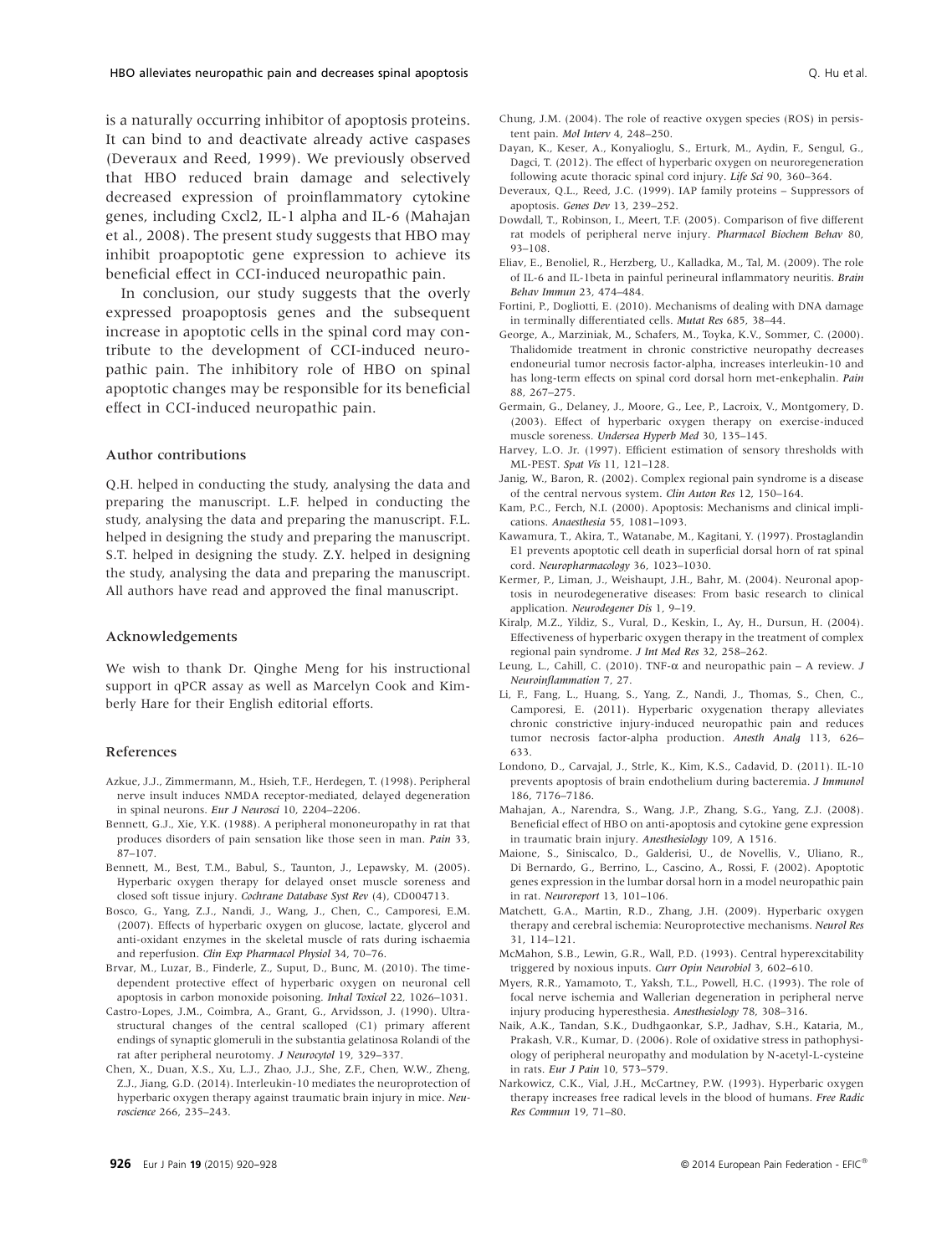is a naturally occurring inhibitor of apoptosis proteins. It can bind to and deactivate already active caspases (Deveraux and Reed, 1999). We previously observed that HBO reduced brain damage and selectively decreased expression of proinflammatory cytokine genes, including Cxcl2, IL-1 alpha and IL-6 (Mahajan et al., 2008). The present study suggests that HBO may inhibit proapoptotic gene expression to achieve its beneficial effect in CCI-induced neuropathic pain.

In conclusion, our study suggests that the overly expressed proapoptosis genes and the subsequent increase in apoptotic cells in the spinal cord may contribute to the development of CCI-induced neuropathic pain. The inhibitory role of HBO on spinal apoptotic changes may be responsible for its beneficial effect in CCI-induced neuropathic pain.

#### Author contributions

Q.H. helped in conducting the study, analysing the data and preparing the manuscript. L.F. helped in conducting the study, analysing the data and preparing the manuscript. F.L. helped in designing the study and preparing the manuscript. S.T. helped in designing the study. Z.Y. helped in designing the study, analysing the data and preparing the manuscript. All authors have read and approved the final manuscript.

#### Acknowledgements

We wish to thank Dr. Qinghe Meng for his instructional support in qPCR assay as well as Marcelyn Cook and Kimberly Hare for their English editorial efforts.

#### References

- Azkue, J.J., Zimmermann, M., Hsieh, T.F., Herdegen, T. (1998). Peripheral nerve insult induces NMDA receptor-mediated, delayed degeneration in spinal neurons. *Eur J Neurosci* 10, 2204–2206.
- Bennett, G.J., Xie, Y.K. (1988). A peripheral mononeuropathy in rat that produces disorders of pain sensation like those seen in man. *Pain* 33, 87–107.
- Bennett, M., Best, T.M., Babul, S., Taunton, J., Lepawsky, M. (2005). Hyperbaric oxygen therapy for delayed onset muscle soreness and closed soft tissue injury. *Cochrane Database Syst Rev* (4), CD004713.
- Bosco, G., Yang, Z.J., Nandi, J., Wang, J., Chen, C., Camporesi, E.M. (2007). Effects of hyperbaric oxygen on glucose, lactate, glycerol and anti-oxidant enzymes in the skeletal muscle of rats during ischaemia and reperfusion. *Clin Exp Pharmacol Physiol* 34, 70–76.
- Brvar, M., Luzar, B., Finderle, Z., Suput, D., Bunc, M. (2010). The timedependent protective effect of hyperbaric oxygen on neuronal cell apoptosis in carbon monoxide poisoning. *Inhal Toxicol* 22, 1026–1031.
- Castro-Lopes, J.M., Coimbra, A., Grant, G., Arvidsson, J. (1990). Ultrastructural changes of the central scalloped (C1) primary afferent endings of synaptic glomeruli in the substantia gelatinosa Rolandi of the rat after peripheral neurotomy. *J Neurocytol* 19, 329–337.
- Chen, X., Duan, X.S., Xu, L.J., Zhao, J.J., She, Z.F., Chen, W.W., Zheng, Z.J., Jiang, G.D. (2014). Interleukin-10 mediates the neuroprotection of hyperbaric oxygen therapy against traumatic brain injury in mice. *Neuroscience* 266, 235–243.
- Chung, J.M. (2004). The role of reactive oxygen species (ROS) in persistent pain. *Mol Interv* 4, 248–250.
- Dayan, K., Keser, A., Konyalioglu, S., Erturk, M., Aydin, F., Sengul, G., Dagci, T. (2012). The effect of hyperbaric oxygen on neuroregeneration following acute thoracic spinal cord injury. *Life Sci* 90, 360–364.
- Deveraux, Q.L., Reed, J.C. (1999). IAP family proteins Suppressors of apoptosis. *Genes Dev* 13, 239–252.
- Dowdall, T., Robinson, I., Meert, T.F. (2005). Comparison of five different rat models of peripheral nerve injury. *Pharmacol Biochem Behav* 80, 93–108.
- Eliav, E., Benoliel, R., Herzberg, U., Kalladka, M., Tal, M. (2009). The role of IL-6 and IL-1beta in painful perineural inflammatory neuritis. *Brain Behav Immun* 23, 474–484.
- Fortini, P., Dogliotti, E. (2010). Mechanisms of dealing with DNA damage in terminally differentiated cells. *Mutat Res* 685, 38–44.
- George, A., Marziniak, M., Schafers, M., Toyka, K.V., Sommer, C. (2000). Thalidomide treatment in chronic constrictive neuropathy decreases endoneurial tumor necrosis factor-alpha, increases interleukin-10 and has long-term effects on spinal cord dorsal horn met-enkephalin. *Pain* 88, 267–275.
- Germain, G., Delaney, J., Moore, G., Lee, P., Lacroix, V., Montgomery, D. (2003). Effect of hyperbaric oxygen therapy on exercise-induced muscle soreness. *Undersea Hyperb Med* 30, 135–145.
- Harvey, L.O. Jr. (1997). Efficient estimation of sensory thresholds with ML-PEST. *Spat Vis* 11, 121–128.
- Janig, W., Baron, R. (2002). Complex regional pain syndrome is a disease of the central nervous system. *Clin Auton Res* 12, 150–164.
- Kam, P.C., Ferch, N.I. (2000). Apoptosis: Mechanisms and clinical implications. *Anaesthesia* 55, 1081–1093.
- Kawamura, T., Akira, T., Watanabe, M., Kagitani, Y. (1997). Prostaglandin E1 prevents apoptotic cell death in superficial dorsal horn of rat spinal cord. *Neuropharmacology* 36, 1023–1030.
- Kermer, P., Liman, J., Weishaupt, J.H., Bahr, M. (2004). Neuronal apoptosis in neurodegenerative diseases: From basic research to clinical application. *Neurodegener Dis* 1, 9–19.
- Kiralp, M.Z., Yildiz, S., Vural, D., Keskin, I., Ay, H., Dursun, H. (2004). Effectiveness of hyperbaric oxygen therapy in the treatment of complex regional pain syndrome. *J Int Med Res* 32, 258–262.
- Leung, L., Cahill, C. (2010). TNF-α and neuropathic pain A review. *J Neuroinflammation* 7, 27.
- Li, F., Fang, L., Huang, S., Yang, Z., Nandi, J., Thomas, S., Chen, C., Camporesi, E. (2011). Hyperbaric oxygenation therapy alleviates chronic constrictive injury-induced neuropathic pain and reduces tumor necrosis factor-alpha production. *Anesth Analg* 113, 626– 633.
- Londono, D., Carvajal, J., Strle, K., Kim, K.S., Cadavid, D. (2011). IL-10 prevents apoptosis of brain endothelium during bacteremia. *J Immunol* 186, 7176–7186.
- Mahajan, A., Narendra, S., Wang, J.P., Zhang, S.G., Yang, Z.J. (2008). Beneficial effect of HBO on anti-apoptosis and cytokine gene expression in traumatic brain injury. *Anesthesiology* 109, A 1516.
- Maione, S., Siniscalco, D., Galderisi, U., de Novellis, V., Uliano, R., Di Bernardo, G., Berrino, L., Cascino, A., Rossi, F. (2002). Apoptotic genes expression in the lumbar dorsal horn in a model neuropathic pain in rat. *Neuroreport* 13, 101–106.
- Matchett, G.A., Martin, R.D., Zhang, J.H. (2009). Hyperbaric oxygen therapy and cerebral ischemia: Neuroprotective mechanisms. *Neurol Res* 31, 114–121.
- McMahon, S.B., Lewin, G.R., Wall, P.D. (1993). Central hyperexcitability triggered by noxious inputs. *Curr Opin Neurobiol* 3, 602–610.
- Myers, R.R., Yamamoto, T., Yaksh, T.L., Powell, H.C. (1993). The role of focal nerve ischemia and Wallerian degeneration in peripheral nerve injury producing hyperesthesia. *Anesthesiology* 78, 308–316.
- Naik, A.K., Tandan, S.K., Dudhgaonkar, S.P., Jadhav, S.H., Kataria, M., Prakash, V.R., Kumar, D. (2006). Role of oxidative stress in pathophysiology of peripheral neuropathy and modulation by N-acetyl-L-cysteine in rats. *Eur J Pain* 10, 573–579.
- Narkowicz, C.K., Vial, J.H., McCartney, P.W. (1993). Hyperbaric oxygen therapy increases free radical levels in the blood of humans. *Free Radic Res Commun* 19, 71–80.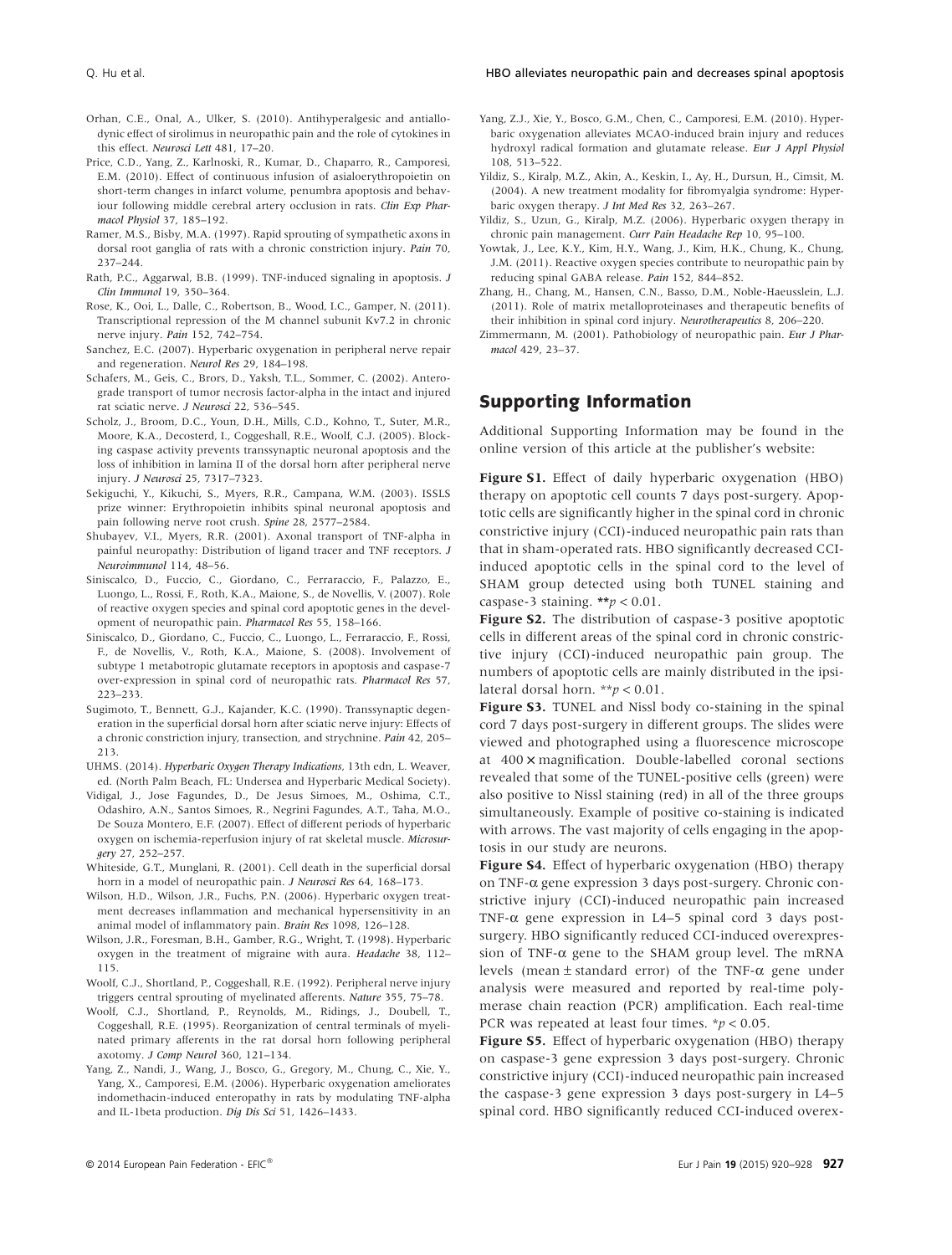- Orhan, C.E., Onal, A., Ulker, S. (2010). Antihyperalgesic and antiallodynic effect of sirolimus in neuropathic pain and the role of cytokines in this effect. *Neurosci Lett* 481, 17–20.
- Price, C.D., Yang, Z., Karlnoski, R., Kumar, D., Chaparro, R., Camporesi, E.M. (2010). Effect of continuous infusion of asialoerythropoietin on short-term changes in infarct volume, penumbra apoptosis and behaviour following middle cerebral artery occlusion in rats. *Clin Exp Pharmacol Physiol* 37, 185–192.
- Ramer, M.S., Bisby, M.A. (1997). Rapid sprouting of sympathetic axons in dorsal root ganglia of rats with a chronic constriction injury. *Pain* 70, 237–244.
- Rath, P.C., Aggarwal, B.B. (1999). TNF-induced signaling in apoptosis. *J Clin Immunol* 19, 350–364.
- Rose, K., Ooi, L., Dalle, C., Robertson, B., Wood, I.C., Gamper, N. (2011). Transcriptional repression of the M channel subunit Kv7.2 in chronic nerve injury. *Pain* 152, 742–754.
- Sanchez, E.C. (2007). Hyperbaric oxygenation in peripheral nerve repair and regeneration. *Neurol Res* 29, 184–198.
- Schafers, M., Geis, C., Brors, D., Yaksh, T.L., Sommer, C. (2002). Anterograde transport of tumor necrosis factor-alpha in the intact and injured rat sciatic nerve. *J Neurosci* 22, 536–545.
- Scholz, J., Broom, D.C., Youn, D.H., Mills, C.D., Kohno, T., Suter, M.R., Moore, K.A., Decosterd, I., Coggeshall, R.E., Woolf, C.J. (2005). Blocking caspase activity prevents transsynaptic neuronal apoptosis and the loss of inhibition in lamina II of the dorsal horn after peripheral nerve injury. *J Neurosci* 25, 7317–7323.
- Sekiguchi, Y., Kikuchi, S., Myers, R.R., Campana, W.M. (2003). ISSLS prize winner: Erythropoietin inhibits spinal neuronal apoptosis and pain following nerve root crush. *Spine* 28, 2577–2584.
- Shubayev, V.I., Myers, R.R. (2001). Axonal transport of TNF-alpha in painful neuropathy: Distribution of ligand tracer and TNF receptors. *J Neuroimmunol* 114, 48–56.
- Siniscalco, D., Fuccio, C., Giordano, C., Ferraraccio, F., Palazzo, E., Luongo, L., Rossi, F., Roth, K.A., Maione, S., de Novellis, V. (2007). Role of reactive oxygen species and spinal cord apoptotic genes in the development of neuropathic pain. *Pharmacol Res* 55, 158–166.
- Siniscalco, D., Giordano, C., Fuccio, C., Luongo, L., Ferraraccio, F., Rossi, F., de Novellis, V., Roth, K.A., Maione, S. (2008). Involvement of subtype 1 metabotropic glutamate receptors in apoptosis and caspase-7 over-expression in spinal cord of neuropathic rats. *Pharmacol Res* 57, 223–233.
- Sugimoto, T., Bennett, G.J., Kajander, K.C. (1990). Transsynaptic degeneration in the superficial dorsal horn after sciatic nerve injury: Effects of a chronic constriction injury, transection, and strychnine. *Pain* 42, 205– 213.
- UHMS. (2014). *Hyperbaric Oxygen Therapy Indications*, 13th edn, L. Weaver, ed. (North Palm Beach, FL: Undersea and Hyperbaric Medical Society).
- Vidigal, J., Jose Fagundes, D., De Jesus Simoes, M., Oshima, C.T., Odashiro, A.N., Santos Simoes, R., Negrini Fagundes, A.T., Taha, M.O., De Souza Montero, E.F. (2007). Effect of different periods of hyperbaric oxygen on ischemia-reperfusion injury of rat skeletal muscle. *Microsurgery* 27, 252–257.
- Whiteside, G.T., Munglani, R. (2001). Cell death in the superficial dorsal horn in a model of neuropathic pain. *J Neurosci Res* 64, 168–173.
- Wilson, H.D., Wilson, J.R., Fuchs, P.N. (2006). Hyperbaric oxygen treatment decreases inflammation and mechanical hypersensitivity in an animal model of inflammatory pain. *Brain Res* 1098, 126–128.
- Wilson, J.R., Foresman, B.H., Gamber, R.G., Wright, T. (1998). Hyperbaric oxygen in the treatment of migraine with aura. *Headache* 38, 112– 115.
- Woolf, C.J., Shortland, P., Coggeshall, R.E. (1992). Peripheral nerve injury triggers central sprouting of myelinated afferents. *Nature* 355, 75–78.
- Woolf, C.J., Shortland, P., Reynolds, M., Ridings, J., Doubell, T., Coggeshall, R.E. (1995). Reorganization of central terminals of myelinated primary afferents in the rat dorsal horn following peripheral axotomy. *J Comp Neurol* 360, 121–134.
- Yang, Z., Nandi, J., Wang, J., Bosco, G., Gregory, M., Chung, C., Xie, Y., Yang, X., Camporesi, E.M. (2006). Hyperbaric oxygenation ameliorates indomethacin-induced enteropathy in rats by modulating TNF-alpha and IL-1beta production. *Dig Dis Sci* 51, 1426–1433.
- Yang, Z.J., Xie, Y., Bosco, G.M., Chen, C., Camporesi, E.M. (2010). Hyperbaric oxygenation alleviates MCAO-induced brain injury and reduces hydroxyl radical formation and glutamate release. *Eur J Appl Physiol* 108, 513–522.
- Yildiz, S., Kiralp, M.Z., Akin, A., Keskin, I., Ay, H., Dursun, H., Cimsit, M. (2004). A new treatment modality for fibromyalgia syndrome: Hyperbaric oxygen therapy. *J Int Med Res* 32, 263–267.
- Yildiz, S., Uzun, G., Kiralp, M.Z. (2006). Hyperbaric oxygen therapy in chronic pain management. *Curr Pain Headache Rep* 10, 95–100.
- Yowtak, J., Lee, K.Y., Kim, H.Y., Wang, J., Kim, H.K., Chung, K., Chung, J.M. (2011). Reactive oxygen species contribute to neuropathic pain by reducing spinal GABA release. *Pain* 152, 844–852.
- Zhang, H., Chang, M., Hansen, C.N., Basso, D.M., Noble-Haeusslein, L.J. (2011). Role of matrix metalloproteinases and therapeutic benefits of their inhibition in spinal cord injury. *Neurotherapeutics* 8, 206–220.
- Zimmermann, M. (2001). Pathobiology of neuropathic pain. *Eur J Pharmacol* 429, 23–37.

# **Supporting Information**

Additional Supporting Information may be found in the online version of this article at the publisher's website:

**Figure S1.** Effect of daily hyperbaric oxygenation (HBO) therapy on apoptotic cell counts 7 days post-surgery. Apoptotic cells are significantly higher in the spinal cord in chronic constrictive injury (CCI)-induced neuropathic pain rats than that in sham-operated rats. HBO significantly decreased CCIinduced apoptotic cells in the spinal cord to the level of SHAM group detected using both TUNEL staining and caspase-3 staining. **\*\****p* < 0.01.

**Figure S2.** The distribution of caspase-3 positive apoptotic cells in different areas of the spinal cord in chronic constrictive injury (CCI)-induced neuropathic pain group. The numbers of apoptotic cells are mainly distributed in the ipsilateral dorsal horn. \*\**p* < 0.01.

**Figure S3.** TUNEL and Nissl body co-staining in the spinal cord 7 days post-surgery in different groups. The slides were viewed and photographed using a fluorescence microscope at 400 **×** magnification. Double-labelled coronal sections revealed that some of the TUNEL-positive cells (green) were also positive to Nissl staining (red) in all of the three groups simultaneously. Example of positive co-staining is indicated with arrows. The vast majority of cells engaging in the apoptosis in our study are neurons.

**Figure S4.** Effect of hyperbaric oxygenation (HBO) therapy on TNF-α gene expression 3 days post-surgery. Chronic constrictive injury (CCI)-induced neuropathic pain increased TNF- $\alpha$  gene expression in L4–5 spinal cord 3 days postsurgery. HBO significantly reduced CCI-induced overexpression of TNF- $\alpha$  gene to the SHAM group level. The mRNA levels (mean  $\pm$  standard error) of the TNF- $\alpha$  gene under analysis were measured and reported by real-time polymerase chain reaction (PCR) amplification. Each real-time PCR was repeated at least four times. \**p* < 0.05.

**Figure S5.** Effect of hyperbaric oxygenation (HBO) therapy on caspase-3 gene expression 3 days post-surgery. Chronic constrictive injury (CCI)-induced neuropathic pain increased the caspase-3 gene expression 3 days post-surgery in L4–5 spinal cord. HBO significantly reduced CCI-induced overex-